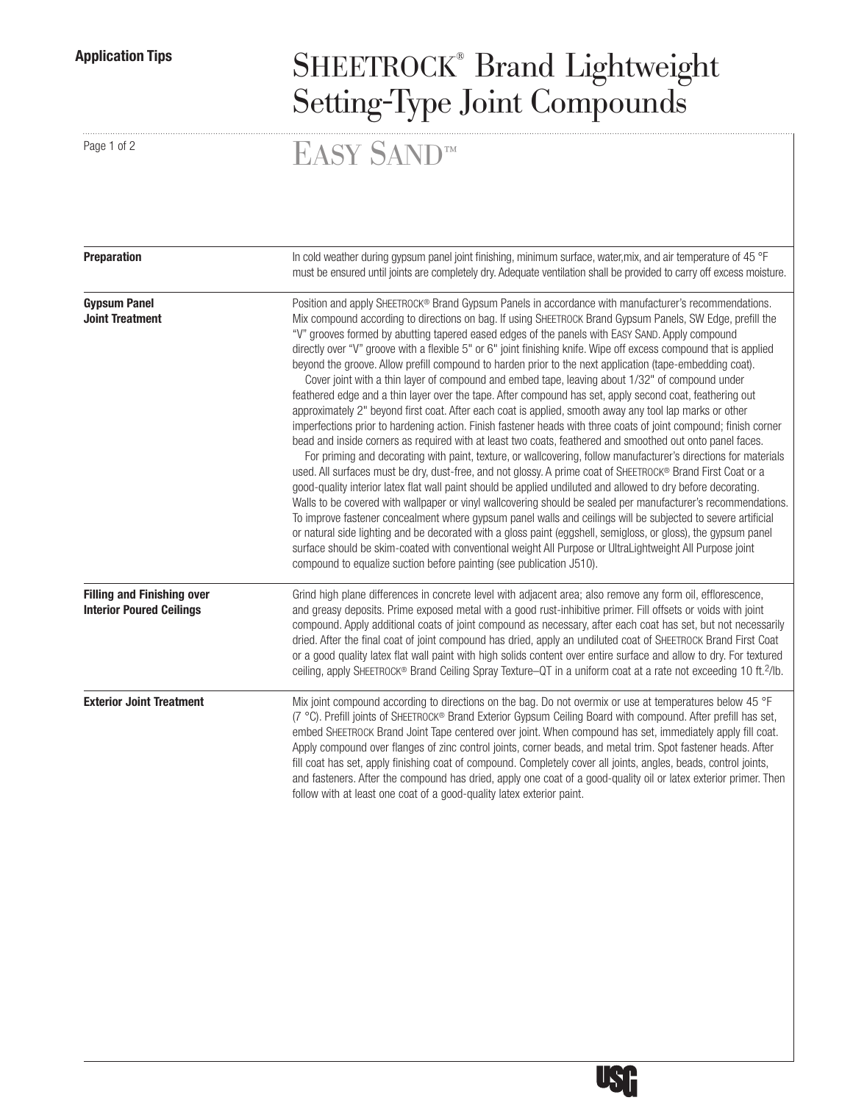## Application Tips SHEETROCK® Brand Lightweight Setting-Type Joint Compounds

Page 1 of 2  $\text{EASY}$  SAND™

| <b>Preparation</b>                                                   | In cold weather during gypsum panel joint finishing, minimum surface, water, mix, and air temperature of 45 °F<br>must be ensured until joints are completely dry. Adequate ventilation shall be provided to carry off excess moisture.                                                                                                                                                                                                                                                                                                                                                                                                                                                                                                                                                                                                                                                                                                                                                                                                                                                                                                                                                                                                                                                                                                                                                                                                                                                                                                                                                                                                                                                                                                                                                                                                                                                                                                                                                                    |  |  |  |  |
|----------------------------------------------------------------------|------------------------------------------------------------------------------------------------------------------------------------------------------------------------------------------------------------------------------------------------------------------------------------------------------------------------------------------------------------------------------------------------------------------------------------------------------------------------------------------------------------------------------------------------------------------------------------------------------------------------------------------------------------------------------------------------------------------------------------------------------------------------------------------------------------------------------------------------------------------------------------------------------------------------------------------------------------------------------------------------------------------------------------------------------------------------------------------------------------------------------------------------------------------------------------------------------------------------------------------------------------------------------------------------------------------------------------------------------------------------------------------------------------------------------------------------------------------------------------------------------------------------------------------------------------------------------------------------------------------------------------------------------------------------------------------------------------------------------------------------------------------------------------------------------------------------------------------------------------------------------------------------------------------------------------------------------------------------------------------------------------|--|--|--|--|
| <b>Gypsum Panel</b><br><b>Joint Treatment</b>                        | Position and apply SHEETROCK® Brand Gypsum Panels in accordance with manufacturer's recommendations.<br>Mix compound according to directions on bag. If using SHEETROCK Brand Gypsum Panels, SW Edge, prefill the<br>"V" grooves formed by abutting tapered eased edges of the panels with EASY SAND. Apply compound<br>directly over "V" groove with a flexible 5" or 6" joint finishing knife. Wipe off excess compound that is applied<br>beyond the groove. Allow prefill compound to harden prior to the next application (tape-embedding coat).<br>Cover joint with a thin layer of compound and embed tape, leaving about 1/32" of compound under<br>feathered edge and a thin layer over the tape. After compound has set, apply second coat, feathering out<br>approximately 2" beyond first coat. After each coat is applied, smooth away any tool lap marks or other<br>imperfections prior to hardening action. Finish fastener heads with three coats of joint compound; finish corner<br>bead and inside corners as required with at least two coats, feathered and smoothed out onto panel faces.<br>For priming and decorating with paint, texture, or wallcovering, follow manufacturer's directions for materials<br>used. All surfaces must be dry, dust-free, and not glossy. A prime coat of SHEETROCK® Brand First Coat or a<br>good-quality interior latex flat wall paint should be applied undiluted and allowed to dry before decorating.<br>Walls to be covered with wallpaper or vinyl wallcovering should be sealed per manufacturer's recommendations.<br>To improve fastener concealment where gypsum panel walls and ceilings will be subjected to severe artificial<br>or natural side lighting and be decorated with a gloss paint (eggshell, semigloss, or gloss), the gypsum panel<br>surface should be skim-coated with conventional weight All Purpose or UltraLightweight All Purpose joint<br>compound to equalize suction before painting (see publication J510). |  |  |  |  |
| <b>Filling and Finishing over</b><br><b>Interior Poured Ceilings</b> | Grind high plane differences in concrete level with adjacent area; also remove any form oil, efflorescence,<br>and greasy deposits. Prime exposed metal with a good rust-inhibitive primer. Fill offsets or voids with joint<br>compound. Apply additional coats of joint compound as necessary, after each coat has set, but not necessarily<br>dried. After the final coat of joint compound has dried, apply an undiluted coat of SHEETROCK Brand First Coat<br>or a good quality latex flat wall paint with high solids content over entire surface and allow to dry. For textured<br>ceiling, apply SHEETROCK® Brand Ceiling Spray Texture-QT in a uniform coat at a rate not exceeding 10 ft. <sup>2</sup> /lb.                                                                                                                                                                                                                                                                                                                                                                                                                                                                                                                                                                                                                                                                                                                                                                                                                                                                                                                                                                                                                                                                                                                                                                                                                                                                                      |  |  |  |  |
| <b>Exterior Joint Treatment</b>                                      | Mix joint compound according to directions on the bag. Do not overmix or use at temperatures below 45 °F<br>(7 °C). Prefill joints of SHEETROCK® Brand Exterior Gypsum Ceiling Board with compound. After prefill has set,<br>embed SHEETROCK Brand Joint Tape centered over joint. When compound has set, immediately apply fill coat.<br>Apply compound over flanges of zinc control joints, corner beads, and metal trim. Spot fastener heads. After<br>fill coat has set, apply finishing coat of compound. Completely cover all joints, angles, beads, control joints,<br>and fasteners. After the compound has dried, apply one coat of a good-quality oil or latex exterior primer. Then<br>follow with at least one coat of a good-quality latex exterior paint.                                                                                                                                                                                                                                                                                                                                                                                                                                                                                                                                                                                                                                                                                                                                                                                                                                                                                                                                                                                                                                                                                                                                                                                                                                   |  |  |  |  |